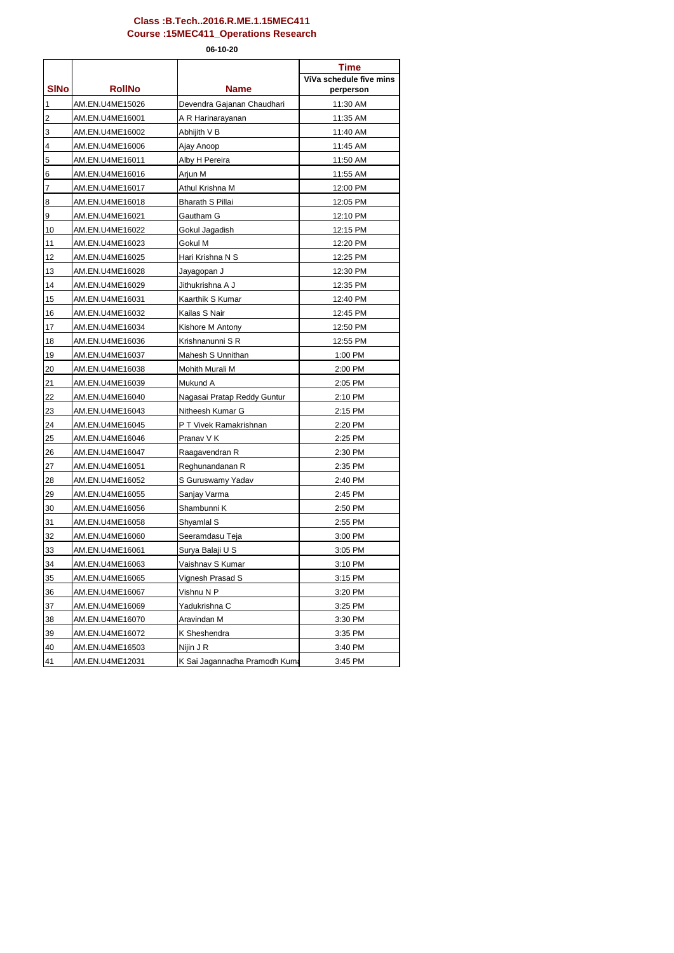| ViVa schedule five mins<br><b>SINo</b><br><b>RollNo</b><br><b>Name</b><br>perperson<br>$\mathbf{1}$<br>AM.EN.U4ME15026<br>Devendra Gajanan Chaudhari<br>11:30 AM<br>$\overline{c}$<br>11:35 AM<br>AM.EN.U4ME16001<br>A R Harinarayanan<br>3<br>AM.EN.U4ME16002<br>Abhijith V B<br>11:40 AM<br>$\overline{\mathbf{4}}$<br>11:45 AM<br>AM.EN.U4ME16006<br>Ajay Anoop<br>5<br>AM.EN.U4ME16011<br>Alby H Pereira<br>11:50 AM<br>6<br>AM.EN.U4ME16016<br>Arjun M<br>11:55 AM<br>$\overline{7}$<br>AM.EN.U4ME16017<br>Athul Krishna M<br>12:00 PM<br>8<br>AM.EN.U4ME16018<br><b>Bharath S Pillai</b><br>12:05 PM<br>$\boldsymbol{9}$<br>AM.EN.U4ME16021<br>Gautham G<br>12:10 PM<br>10<br>AM.EN.U4ME16022<br>Gokul Jagadish<br>12:15 PM<br>11<br>AM.EN.U4ME16023<br>Gokul M<br>12:20 PM<br>12<br>AM.EN.U4ME16025<br>Hari Krishna N S<br>12:25 PM<br>13<br>AM.EN.U4ME16028<br>12:30 PM<br>Jayagopan J<br>14<br>AM.EN.U4ME16029<br>Jithukrishna A J<br>12:35 PM<br>15<br>Kaarthik S Kumar<br>12:40 PM<br>AM.EN.U4ME16031<br>16<br>Kailas S Nair<br>AM.EN.U4ME16032<br>12:45 PM<br>17<br>AM.EN.U4ME16034<br>Kishore M Antony<br>12:50 PM<br>Krishnanunni SR<br>18<br>AM.EN.U4ME16036<br>12:55 PM<br>19<br>AM.EN.U4ME16037<br>Mahesh S Unnithan<br>1:00 PM<br>20<br>AM.EN.U4ME16038<br>Mohith Murali M<br>2:00 PM<br>21<br>AM.EN.U4ME16039<br>Mukund A<br>2:05 PM<br>22<br>AM.EN.U4ME16040<br>2:10 PM<br>Nagasai Pratap Reddy Guntur<br>23<br>AM.EN.U4ME16043<br>Nitheesh Kumar G<br>2:15 PM<br>24<br>AM.EN.U4ME16045<br>P T Vivek Ramakrishnan<br>2:20 PM<br>25<br>AM.EN.U4ME16046<br>Pranav V K<br>2:25 PM<br>26<br>2:30 PM<br>AM.EN.U4ME16047<br>Raagavendran R<br>27<br>Reghunandanan R<br>2:35 PM<br>AM.EN.U4ME16051<br>28<br>AM.EN.U4ME16052<br>S Guruswamy Yadav<br>2:40 PM<br>29<br>AM.EN.U4ME16055<br>Sanjay Varma<br>2:45 PM<br>30<br>Shambunni K<br>AM.EN.U4ME16056<br>2:50 PM<br>31<br>AM.EN.U4ME16058<br>Shyamlal S<br>2:55 PM<br>32<br>AM.EN.U4ME16060<br>Seeramdasu Teja<br>3:00 PM<br>33<br>AM.EN.U4ME16061<br>Surya Balaji U S<br>3:05 PM<br>34<br>Vaishnav S Kumar<br>AM.EN.U4ME16063<br>3:10 PM<br>35<br>3:15 PM<br>AM.EN.U4ME16065<br>Vignesh Prasad S<br>36<br>Vishnu N P<br>3:20 PM<br>AM.EN.U4ME16067<br>37<br>AM.EN.U4ME16069<br>Yadukrishna C<br>3:25 PM |    |             | <b>Time</b> |
|-------------------------------------------------------------------------------------------------------------------------------------------------------------------------------------------------------------------------------------------------------------------------------------------------------------------------------------------------------------------------------------------------------------------------------------------------------------------------------------------------------------------------------------------------------------------------------------------------------------------------------------------------------------------------------------------------------------------------------------------------------------------------------------------------------------------------------------------------------------------------------------------------------------------------------------------------------------------------------------------------------------------------------------------------------------------------------------------------------------------------------------------------------------------------------------------------------------------------------------------------------------------------------------------------------------------------------------------------------------------------------------------------------------------------------------------------------------------------------------------------------------------------------------------------------------------------------------------------------------------------------------------------------------------------------------------------------------------------------------------------------------------------------------------------------------------------------------------------------------------------------------------------------------------------------------------------------------------------------------------------------------------------------------------------------------------------------------------------------------------------------------------------------------------------------------------------------------------------------------------------------------------------|----|-------------|-------------|
|                                                                                                                                                                                                                                                                                                                                                                                                                                                                                                                                                                                                                                                                                                                                                                                                                                                                                                                                                                                                                                                                                                                                                                                                                                                                                                                                                                                                                                                                                                                                                                                                                                                                                                                                                                                                                                                                                                                                                                                                                                                                                                                                                                                                                                                                         |    |             |             |
|                                                                                                                                                                                                                                                                                                                                                                                                                                                                                                                                                                                                                                                                                                                                                                                                                                                                                                                                                                                                                                                                                                                                                                                                                                                                                                                                                                                                                                                                                                                                                                                                                                                                                                                                                                                                                                                                                                                                                                                                                                                                                                                                                                                                                                                                         |    |             |             |
|                                                                                                                                                                                                                                                                                                                                                                                                                                                                                                                                                                                                                                                                                                                                                                                                                                                                                                                                                                                                                                                                                                                                                                                                                                                                                                                                                                                                                                                                                                                                                                                                                                                                                                                                                                                                                                                                                                                                                                                                                                                                                                                                                                                                                                                                         |    |             |             |
|                                                                                                                                                                                                                                                                                                                                                                                                                                                                                                                                                                                                                                                                                                                                                                                                                                                                                                                                                                                                                                                                                                                                                                                                                                                                                                                                                                                                                                                                                                                                                                                                                                                                                                                                                                                                                                                                                                                                                                                                                                                                                                                                                                                                                                                                         |    |             |             |
|                                                                                                                                                                                                                                                                                                                                                                                                                                                                                                                                                                                                                                                                                                                                                                                                                                                                                                                                                                                                                                                                                                                                                                                                                                                                                                                                                                                                                                                                                                                                                                                                                                                                                                                                                                                                                                                                                                                                                                                                                                                                                                                                                                                                                                                                         |    |             |             |
|                                                                                                                                                                                                                                                                                                                                                                                                                                                                                                                                                                                                                                                                                                                                                                                                                                                                                                                                                                                                                                                                                                                                                                                                                                                                                                                                                                                                                                                                                                                                                                                                                                                                                                                                                                                                                                                                                                                                                                                                                                                                                                                                                                                                                                                                         |    |             |             |
|                                                                                                                                                                                                                                                                                                                                                                                                                                                                                                                                                                                                                                                                                                                                                                                                                                                                                                                                                                                                                                                                                                                                                                                                                                                                                                                                                                                                                                                                                                                                                                                                                                                                                                                                                                                                                                                                                                                                                                                                                                                                                                                                                                                                                                                                         |    |             |             |
|                                                                                                                                                                                                                                                                                                                                                                                                                                                                                                                                                                                                                                                                                                                                                                                                                                                                                                                                                                                                                                                                                                                                                                                                                                                                                                                                                                                                                                                                                                                                                                                                                                                                                                                                                                                                                                                                                                                                                                                                                                                                                                                                                                                                                                                                         |    |             |             |
|                                                                                                                                                                                                                                                                                                                                                                                                                                                                                                                                                                                                                                                                                                                                                                                                                                                                                                                                                                                                                                                                                                                                                                                                                                                                                                                                                                                                                                                                                                                                                                                                                                                                                                                                                                                                                                                                                                                                                                                                                                                                                                                                                                                                                                                                         |    |             |             |
|                                                                                                                                                                                                                                                                                                                                                                                                                                                                                                                                                                                                                                                                                                                                                                                                                                                                                                                                                                                                                                                                                                                                                                                                                                                                                                                                                                                                                                                                                                                                                                                                                                                                                                                                                                                                                                                                                                                                                                                                                                                                                                                                                                                                                                                                         |    |             |             |
|                                                                                                                                                                                                                                                                                                                                                                                                                                                                                                                                                                                                                                                                                                                                                                                                                                                                                                                                                                                                                                                                                                                                                                                                                                                                                                                                                                                                                                                                                                                                                                                                                                                                                                                                                                                                                                                                                                                                                                                                                                                                                                                                                                                                                                                                         |    |             |             |
|                                                                                                                                                                                                                                                                                                                                                                                                                                                                                                                                                                                                                                                                                                                                                                                                                                                                                                                                                                                                                                                                                                                                                                                                                                                                                                                                                                                                                                                                                                                                                                                                                                                                                                                                                                                                                                                                                                                                                                                                                                                                                                                                                                                                                                                                         |    |             |             |
|                                                                                                                                                                                                                                                                                                                                                                                                                                                                                                                                                                                                                                                                                                                                                                                                                                                                                                                                                                                                                                                                                                                                                                                                                                                                                                                                                                                                                                                                                                                                                                                                                                                                                                                                                                                                                                                                                                                                                                                                                                                                                                                                                                                                                                                                         |    |             |             |
|                                                                                                                                                                                                                                                                                                                                                                                                                                                                                                                                                                                                                                                                                                                                                                                                                                                                                                                                                                                                                                                                                                                                                                                                                                                                                                                                                                                                                                                                                                                                                                                                                                                                                                                                                                                                                                                                                                                                                                                                                                                                                                                                                                                                                                                                         |    |             |             |
|                                                                                                                                                                                                                                                                                                                                                                                                                                                                                                                                                                                                                                                                                                                                                                                                                                                                                                                                                                                                                                                                                                                                                                                                                                                                                                                                                                                                                                                                                                                                                                                                                                                                                                                                                                                                                                                                                                                                                                                                                                                                                                                                                                                                                                                                         |    |             |             |
|                                                                                                                                                                                                                                                                                                                                                                                                                                                                                                                                                                                                                                                                                                                                                                                                                                                                                                                                                                                                                                                                                                                                                                                                                                                                                                                                                                                                                                                                                                                                                                                                                                                                                                                                                                                                                                                                                                                                                                                                                                                                                                                                                                                                                                                                         |    |             |             |
|                                                                                                                                                                                                                                                                                                                                                                                                                                                                                                                                                                                                                                                                                                                                                                                                                                                                                                                                                                                                                                                                                                                                                                                                                                                                                                                                                                                                                                                                                                                                                                                                                                                                                                                                                                                                                                                                                                                                                                                                                                                                                                                                                                                                                                                                         |    |             |             |
|                                                                                                                                                                                                                                                                                                                                                                                                                                                                                                                                                                                                                                                                                                                                                                                                                                                                                                                                                                                                                                                                                                                                                                                                                                                                                                                                                                                                                                                                                                                                                                                                                                                                                                                                                                                                                                                                                                                                                                                                                                                                                                                                                                                                                                                                         |    |             |             |
|                                                                                                                                                                                                                                                                                                                                                                                                                                                                                                                                                                                                                                                                                                                                                                                                                                                                                                                                                                                                                                                                                                                                                                                                                                                                                                                                                                                                                                                                                                                                                                                                                                                                                                                                                                                                                                                                                                                                                                                                                                                                                                                                                                                                                                                                         |    |             |             |
|                                                                                                                                                                                                                                                                                                                                                                                                                                                                                                                                                                                                                                                                                                                                                                                                                                                                                                                                                                                                                                                                                                                                                                                                                                                                                                                                                                                                                                                                                                                                                                                                                                                                                                                                                                                                                                                                                                                                                                                                                                                                                                                                                                                                                                                                         |    |             |             |
|                                                                                                                                                                                                                                                                                                                                                                                                                                                                                                                                                                                                                                                                                                                                                                                                                                                                                                                                                                                                                                                                                                                                                                                                                                                                                                                                                                                                                                                                                                                                                                                                                                                                                                                                                                                                                                                                                                                                                                                                                                                                                                                                                                                                                                                                         |    |             |             |
|                                                                                                                                                                                                                                                                                                                                                                                                                                                                                                                                                                                                                                                                                                                                                                                                                                                                                                                                                                                                                                                                                                                                                                                                                                                                                                                                                                                                                                                                                                                                                                                                                                                                                                                                                                                                                                                                                                                                                                                                                                                                                                                                                                                                                                                                         |    |             |             |
|                                                                                                                                                                                                                                                                                                                                                                                                                                                                                                                                                                                                                                                                                                                                                                                                                                                                                                                                                                                                                                                                                                                                                                                                                                                                                                                                                                                                                                                                                                                                                                                                                                                                                                                                                                                                                                                                                                                                                                                                                                                                                                                                                                                                                                                                         |    |             |             |
|                                                                                                                                                                                                                                                                                                                                                                                                                                                                                                                                                                                                                                                                                                                                                                                                                                                                                                                                                                                                                                                                                                                                                                                                                                                                                                                                                                                                                                                                                                                                                                                                                                                                                                                                                                                                                                                                                                                                                                                                                                                                                                                                                                                                                                                                         |    |             |             |
|                                                                                                                                                                                                                                                                                                                                                                                                                                                                                                                                                                                                                                                                                                                                                                                                                                                                                                                                                                                                                                                                                                                                                                                                                                                                                                                                                                                                                                                                                                                                                                                                                                                                                                                                                                                                                                                                                                                                                                                                                                                                                                                                                                                                                                                                         |    |             |             |
|                                                                                                                                                                                                                                                                                                                                                                                                                                                                                                                                                                                                                                                                                                                                                                                                                                                                                                                                                                                                                                                                                                                                                                                                                                                                                                                                                                                                                                                                                                                                                                                                                                                                                                                                                                                                                                                                                                                                                                                                                                                                                                                                                                                                                                                                         |    |             |             |
|                                                                                                                                                                                                                                                                                                                                                                                                                                                                                                                                                                                                                                                                                                                                                                                                                                                                                                                                                                                                                                                                                                                                                                                                                                                                                                                                                                                                                                                                                                                                                                                                                                                                                                                                                                                                                                                                                                                                                                                                                                                                                                                                                                                                                                                                         |    |             |             |
|                                                                                                                                                                                                                                                                                                                                                                                                                                                                                                                                                                                                                                                                                                                                                                                                                                                                                                                                                                                                                                                                                                                                                                                                                                                                                                                                                                                                                                                                                                                                                                                                                                                                                                                                                                                                                                                                                                                                                                                                                                                                                                                                                                                                                                                                         |    |             |             |
|                                                                                                                                                                                                                                                                                                                                                                                                                                                                                                                                                                                                                                                                                                                                                                                                                                                                                                                                                                                                                                                                                                                                                                                                                                                                                                                                                                                                                                                                                                                                                                                                                                                                                                                                                                                                                                                                                                                                                                                                                                                                                                                                                                                                                                                                         |    |             |             |
|                                                                                                                                                                                                                                                                                                                                                                                                                                                                                                                                                                                                                                                                                                                                                                                                                                                                                                                                                                                                                                                                                                                                                                                                                                                                                                                                                                                                                                                                                                                                                                                                                                                                                                                                                                                                                                                                                                                                                                                                                                                                                                                                                                                                                                                                         |    |             |             |
|                                                                                                                                                                                                                                                                                                                                                                                                                                                                                                                                                                                                                                                                                                                                                                                                                                                                                                                                                                                                                                                                                                                                                                                                                                                                                                                                                                                                                                                                                                                                                                                                                                                                                                                                                                                                                                                                                                                                                                                                                                                                                                                                                                                                                                                                         |    |             |             |
|                                                                                                                                                                                                                                                                                                                                                                                                                                                                                                                                                                                                                                                                                                                                                                                                                                                                                                                                                                                                                                                                                                                                                                                                                                                                                                                                                                                                                                                                                                                                                                                                                                                                                                                                                                                                                                                                                                                                                                                                                                                                                                                                                                                                                                                                         |    |             |             |
|                                                                                                                                                                                                                                                                                                                                                                                                                                                                                                                                                                                                                                                                                                                                                                                                                                                                                                                                                                                                                                                                                                                                                                                                                                                                                                                                                                                                                                                                                                                                                                                                                                                                                                                                                                                                                                                                                                                                                                                                                                                                                                                                                                                                                                                                         |    |             |             |
|                                                                                                                                                                                                                                                                                                                                                                                                                                                                                                                                                                                                                                                                                                                                                                                                                                                                                                                                                                                                                                                                                                                                                                                                                                                                                                                                                                                                                                                                                                                                                                                                                                                                                                                                                                                                                                                                                                                                                                                                                                                                                                                                                                                                                                                                         |    |             |             |
|                                                                                                                                                                                                                                                                                                                                                                                                                                                                                                                                                                                                                                                                                                                                                                                                                                                                                                                                                                                                                                                                                                                                                                                                                                                                                                                                                                                                                                                                                                                                                                                                                                                                                                                                                                                                                                                                                                                                                                                                                                                                                                                                                                                                                                                                         |    |             |             |
|                                                                                                                                                                                                                                                                                                                                                                                                                                                                                                                                                                                                                                                                                                                                                                                                                                                                                                                                                                                                                                                                                                                                                                                                                                                                                                                                                                                                                                                                                                                                                                                                                                                                                                                                                                                                                                                                                                                                                                                                                                                                                                                                                                                                                                                                         |    |             |             |
|                                                                                                                                                                                                                                                                                                                                                                                                                                                                                                                                                                                                                                                                                                                                                                                                                                                                                                                                                                                                                                                                                                                                                                                                                                                                                                                                                                                                                                                                                                                                                                                                                                                                                                                                                                                                                                                                                                                                                                                                                                                                                                                                                                                                                                                                         |    |             |             |
|                                                                                                                                                                                                                                                                                                                                                                                                                                                                                                                                                                                                                                                                                                                                                                                                                                                                                                                                                                                                                                                                                                                                                                                                                                                                                                                                                                                                                                                                                                                                                                                                                                                                                                                                                                                                                                                                                                                                                                                                                                                                                                                                                                                                                                                                         |    |             |             |
|                                                                                                                                                                                                                                                                                                                                                                                                                                                                                                                                                                                                                                                                                                                                                                                                                                                                                                                                                                                                                                                                                                                                                                                                                                                                                                                                                                                                                                                                                                                                                                                                                                                                                                                                                                                                                                                                                                                                                                                                                                                                                                                                                                                                                                                                         |    |             |             |
| AM.EN.U4ME16070<br>3:30 PM                                                                                                                                                                                                                                                                                                                                                                                                                                                                                                                                                                                                                                                                                                                                                                                                                                                                                                                                                                                                                                                                                                                                                                                                                                                                                                                                                                                                                                                                                                                                                                                                                                                                                                                                                                                                                                                                                                                                                                                                                                                                                                                                                                                                                                              | 38 | Aravindan M |             |
| 39<br>AM.EN.U4ME16072<br>K Sheshendra<br>3:35 PM                                                                                                                                                                                                                                                                                                                                                                                                                                                                                                                                                                                                                                                                                                                                                                                                                                                                                                                                                                                                                                                                                                                                                                                                                                                                                                                                                                                                                                                                                                                                                                                                                                                                                                                                                                                                                                                                                                                                                                                                                                                                                                                                                                                                                        |    |             |             |
| 40<br>AM.EN.U4ME16503<br>Nijin J R<br>3:40 PM                                                                                                                                                                                                                                                                                                                                                                                                                                                                                                                                                                                                                                                                                                                                                                                                                                                                                                                                                                                                                                                                                                                                                                                                                                                                                                                                                                                                                                                                                                                                                                                                                                                                                                                                                                                                                                                                                                                                                                                                                                                                                                                                                                                                                           |    |             |             |
| 41<br>AM.EN.U4ME12031<br>K Sai Jagannadha Pramodh Kum<br>3:45 PM                                                                                                                                                                                                                                                                                                                                                                                                                                                                                                                                                                                                                                                                                                                                                                                                                                                                                                                                                                                                                                                                                                                                                                                                                                                                                                                                                                                                                                                                                                                                                                                                                                                                                                                                                                                                                                                                                                                                                                                                                                                                                                                                                                                                        |    |             |             |

**06-10-20**

## **Class :B.Tech..2016.R.ME.1.15MEC411 Course :15MEC411\_Operations Research**